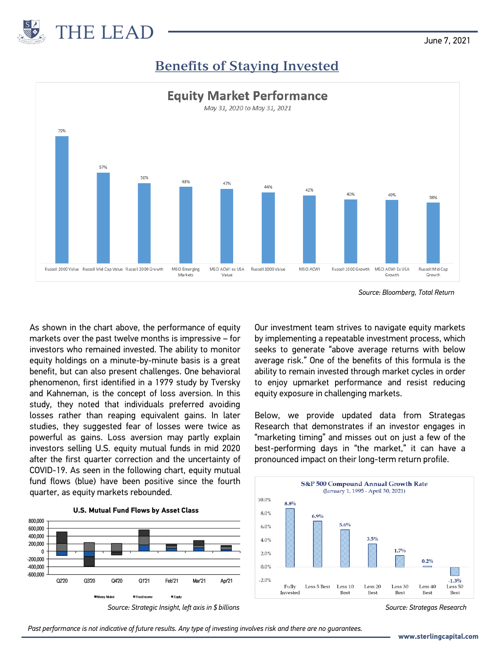

June 7, 2021

## **Benefits of Staying Invested**



*Source: Bloomberg, Total Return*

As shown in the chart above, the performance of equity markets over the past twelve months is impressive – for investors who remained invested. The ability to monitor equity holdings on a minute-by-minute basis is a great benefit, but can also present challenges. One behavioral phenomenon, first identified in a 1979 study by Tversky and Kahneman, is the concept of loss aversion. In this study, they noted that individuals preferred avoiding losses rather than reaping equivalent gains. In later studies, they suggested fear of losses were twice as powerful as gains. Loss aversion may partly explain investors selling U.S. equity mutual funds in mid 2020 after the first quarter correction and the uncertainty of COVID-19. As seen in the following chart, equity mutual fund flows (blue) have been positive since the fourth quarter, as equity markets rebounded.

Our investment team strives to navigate equity markets by implementing a repeatable investment process, which seeks to generate "above average returns with below average risk." One of the benefits of this formula is the ability to remain invested through market cycles in order to enjoy upmarket performance and resist reducing equity exposure in challenging markets.

Below, we provide updated data from Strategas Research that demonstrates if an investor engages in "marketing timing" and misses out on just a few of the best-performing days in "the market," it can have a pronounced impact on their long-term return profile.



*Source: Strategas Research*

**U.S. Mutual Fund Flows by Asset Class**



*Source: Strategic Insight, left axis in \$ billions*

*Past performance is not indicative of future results. Any type of investing involves risk and there are no guarantees.*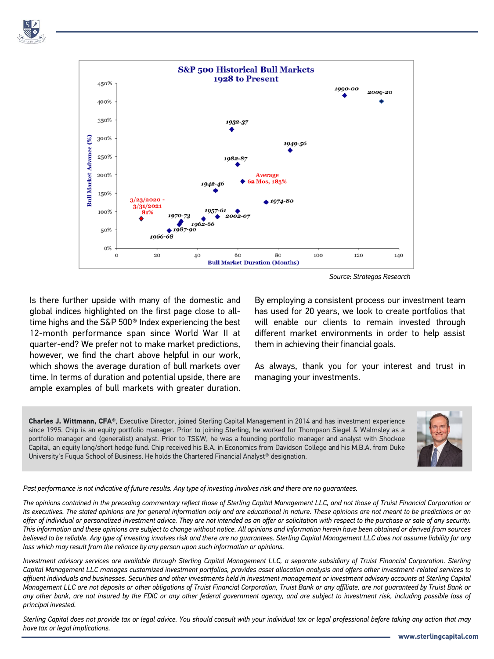

*Source: Strategas Research*

Is there further upside with many of the domestic and global indices highlighted on the first page close to alltime highs and the S&P 500® Index experiencing the best 12-month performance span since World War II at quarter-end? We prefer not to make market predictions, however, we find the chart above helpful in our work, which shows the average duration of bull markets over time. In terms of duration and potential upside, there are ample examples of bull markets with greater duration.

By employing a consistent process our investment team has used for 20 years, we look to create portfolios that will enable our clients to remain invested through different market environments in order to help assist them in achieving their financial goals.

As always, thank you for your interest and trust in managing your investments.

**Charles J. Wittmann, CFA®**, Executive Director, joined Sterling Capital Management in 2014 and has investment experience since 1995. Chip is an equity portfolio manager. Prior to joining Sterling, he worked for Thompson Siegel & Walmsley as a portfolio manager and (generalist) analyst. Prior to TS&W, he was a founding portfolio manager and analyst with Shockoe Capital, an equity long/short hedge fund. Chip received his B.A. in Economics from Davidson College and his M.B.A. from Duke University's Fuqua School of Business. He holds the Chartered Financial Analyst<sup>®</sup> designation.



## Past performance is not indicative of future results. Any type of investing involves risk and there are no quarantees.

The opinions contained in the preceding commentary reflect those of Sterling Capital Management LLC, and not those of Truist Financial Corporation or its executives. The stated opinions are for general information only and are educational in nature. These opinions are not meant to be predictions or an offer of individual or personalized investment advice. They are not intended as an offer or solicitation with respect to the purchase or sale of any security. This information and these opinions are subject to change without notice. All opinions and information herein have been obtained or derived from sources believed to be reliable. Any type of investing involves risk and there are no guarantees. Sterling Capital Management LLC does not assume liability for any *loss which may result from the reliance by any person upon such information or opinions.*

Investment advisory services are available through Sterling Capital Management LLC, a separate subsidiary of Truist Financial Corporation. Sterling Capital Management LLC manages customized investment portfolios, provides asset allocation analysis and offers other investment-related services to affluent individuals and businesses. Securities and other investments held in investment management or investment advisory accounts at Sterling Capital Management LLC are not deposits or other obligations of Truist Financial Corporation, Truist Bank or any affiliate, are not guaranteed by Truist Bank or any other bank, are not insured by the FDIC or any other federal government agency, and are subject to investment risk, including possible loss of *principal invested.*

Sterling Capital does not provide tax or legal advice. You should consult with your individual tax or legal professional before taking any action that may *have tax or legal implications.*